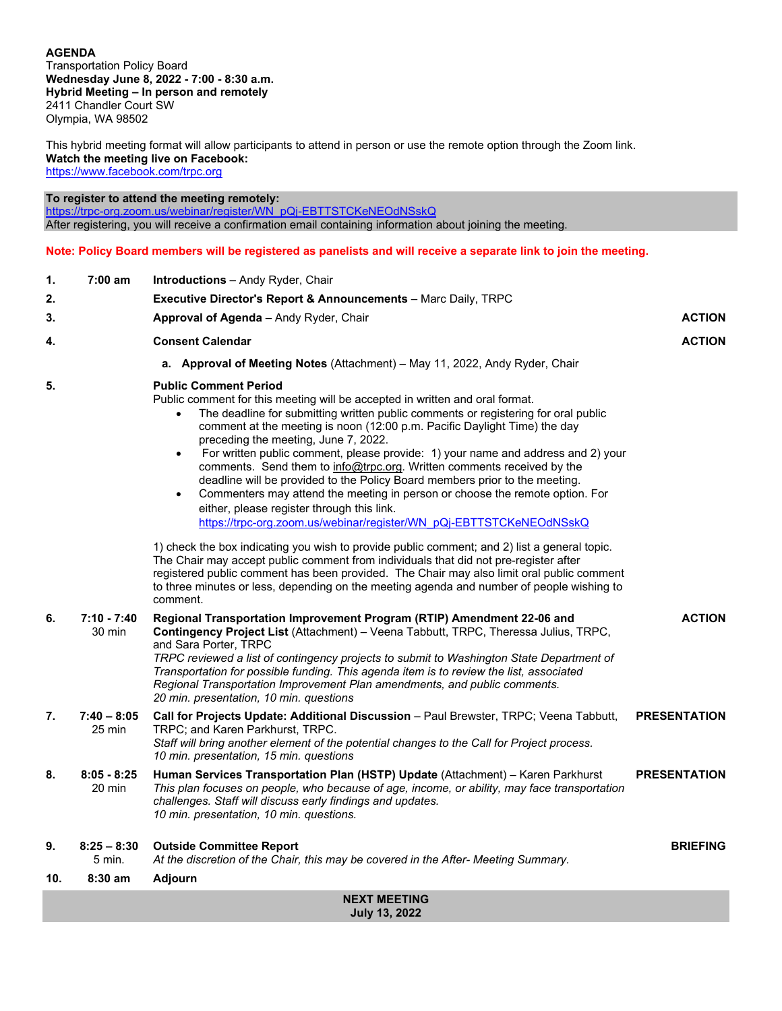# **AGENDA**

Transportation Policy Board **Wednesday June 8, 2022 - 7:00 - 8:30 a.m. Hybrid Meeting – In person and remotely** 2411 Chandler Court SW Olympia, WA 98502

This hybrid meeting format will allow participants to attend in person or use the remote option through the Zoom link. **Watch the meeting live on Facebook:**  <https://www.facebook.com/trpc.org>

**To register to attend the meeting remotely:**

[https://trpc-org.zoom.us/webinar/register/WN\\_pQj-EBTTSTCKeNEOdNSskQ](https://trpc-org.zoom.us/webinar/register/WN_pQj-EBTTSTCKeNEOdNSskQ) After registering, you will receive a confirmation email containing information about joining the meeting.

**Note: Policy Board members will be registered as panelists and will receive a separate link to join the meeting.**

| 1.                                          | $7:00$ am                                                                          | <b>Introductions</b> – Andy Ryder, Chair                                                                                                                                                                                                                                                                                                                                                                                                                                                                                                                                                                                                                                                                                                                                                                                                                                                            |                     |  |  |  |
|---------------------------------------------|------------------------------------------------------------------------------------|-----------------------------------------------------------------------------------------------------------------------------------------------------------------------------------------------------------------------------------------------------------------------------------------------------------------------------------------------------------------------------------------------------------------------------------------------------------------------------------------------------------------------------------------------------------------------------------------------------------------------------------------------------------------------------------------------------------------------------------------------------------------------------------------------------------------------------------------------------------------------------------------------------|---------------------|--|--|--|
| 2.                                          |                                                                                    | <b>Executive Director's Report &amp; Announcements</b> – Marc Daily, TRPC                                                                                                                                                                                                                                                                                                                                                                                                                                                                                                                                                                                                                                                                                                                                                                                                                           |                     |  |  |  |
| 3.                                          |                                                                                    | <b>ACTION</b><br><b>Approval of Agenda</b> – Andy Ryder, Chair                                                                                                                                                                                                                                                                                                                                                                                                                                                                                                                                                                                                                                                                                                                                                                                                                                      |                     |  |  |  |
| 4.                                          | <b>Consent Calendar</b><br><b>ACTION</b>                                           |                                                                                                                                                                                                                                                                                                                                                                                                                                                                                                                                                                                                                                                                                                                                                                                                                                                                                                     |                     |  |  |  |
|                                             | <b>a.</b> Approval of Meeting Notes (Attachment) – May 11, 2022, Andy Ryder, Chair |                                                                                                                                                                                                                                                                                                                                                                                                                                                                                                                                                                                                                                                                                                                                                                                                                                                                                                     |                     |  |  |  |
| 5.                                          |                                                                                    | <b>Public Comment Period</b><br>Public comment for this meeting will be accepted in written and oral format.<br>The deadline for submitting written public comments or registering for oral public<br>comment at the meeting is noon (12:00 p.m. Pacific Daylight Time) the day<br>preceding the meeting, June 7, 2022.<br>For written public comment, please provide: 1) your name and address and 2) your<br>$\bullet$<br>comments. Send them to info@trpc.org. Written comments received by the<br>deadline will be provided to the Policy Board members prior to the meeting.<br>Commenters may attend the meeting in person or choose the remote option. For<br>$\bullet$<br>either, please register through this link.<br>https://trpc-org.zoom.us/webinar/register/WN_pQi-EBTTSTCKeNEOdNSskQ<br>1) check the box indicating you wish to provide public comment; and 2) list a general topic. |                     |  |  |  |
|                                             |                                                                                    | The Chair may accept public comment from individuals that did not pre-register after<br>registered public comment has been provided. The Chair may also limit oral public comment<br>to three minutes or less, depending on the meeting agenda and number of people wishing to<br>comment.                                                                                                                                                                                                                                                                                                                                                                                                                                                                                                                                                                                                          |                     |  |  |  |
| 6.                                          | $7:10 - 7:40$<br>30 min                                                            | <b>ACTION</b><br>Regional Transportation Improvement Program (RTIP) Amendment 22-06 and<br>Contingency Project List (Attachment) - Veena Tabbutt, TRPC, Theressa Julius, TRPC,<br>and Sara Porter, TRPC<br>TRPC reviewed a list of contingency projects to submit to Washington State Department of<br>Transportation for possible funding. This agenda item is to review the list, associated<br>Regional Transportation Improvement Plan amendments, and public comments.<br>20 min. presentation, 10 min. questions                                                                                                                                                                                                                                                                                                                                                                              |                     |  |  |  |
| 7.                                          | $7:40 - 8:05$<br>25 min                                                            | Call for Projects Update: Additional Discussion - Paul Brewster, TRPC; Veena Tabbutt,<br>TRPC; and Karen Parkhurst, TRPC.<br>Staff will bring another element of the potential changes to the Call for Project process.<br>10 min. presentation, 15 min. questions                                                                                                                                                                                                                                                                                                                                                                                                                                                                                                                                                                                                                                  | <b>PRESENTATION</b> |  |  |  |
| 8.                                          | $8:05 - 8:25$<br>20 min                                                            | Human Services Transportation Plan (HSTP) Update (Attachment) - Karen Parkhurst<br>This plan focuses on people, who because of age, income, or ability, may face transportation<br>challenges. Staff will discuss early findings and updates.<br>10 min. presentation, 10 min. questions.                                                                                                                                                                                                                                                                                                                                                                                                                                                                                                                                                                                                           | <b>PRESENTATION</b> |  |  |  |
| 9.                                          | $8:25 - 8:30$<br>5 min.                                                            | <b>Outside Committee Report</b><br><b>BRIEFING</b><br>At the discretion of the Chair, this may be covered in the After- Meeting Summary.                                                                                                                                                                                                                                                                                                                                                                                                                                                                                                                                                                                                                                                                                                                                                            |                     |  |  |  |
| 10.                                         | $8:30$ am                                                                          | <b>Adjourn</b>                                                                                                                                                                                                                                                                                                                                                                                                                                                                                                                                                                                                                                                                                                                                                                                                                                                                                      |                     |  |  |  |
| <b>NEXT MEETING</b><br><b>July 13, 2022</b> |                                                                                    |                                                                                                                                                                                                                                                                                                                                                                                                                                                                                                                                                                                                                                                                                                                                                                                                                                                                                                     |                     |  |  |  |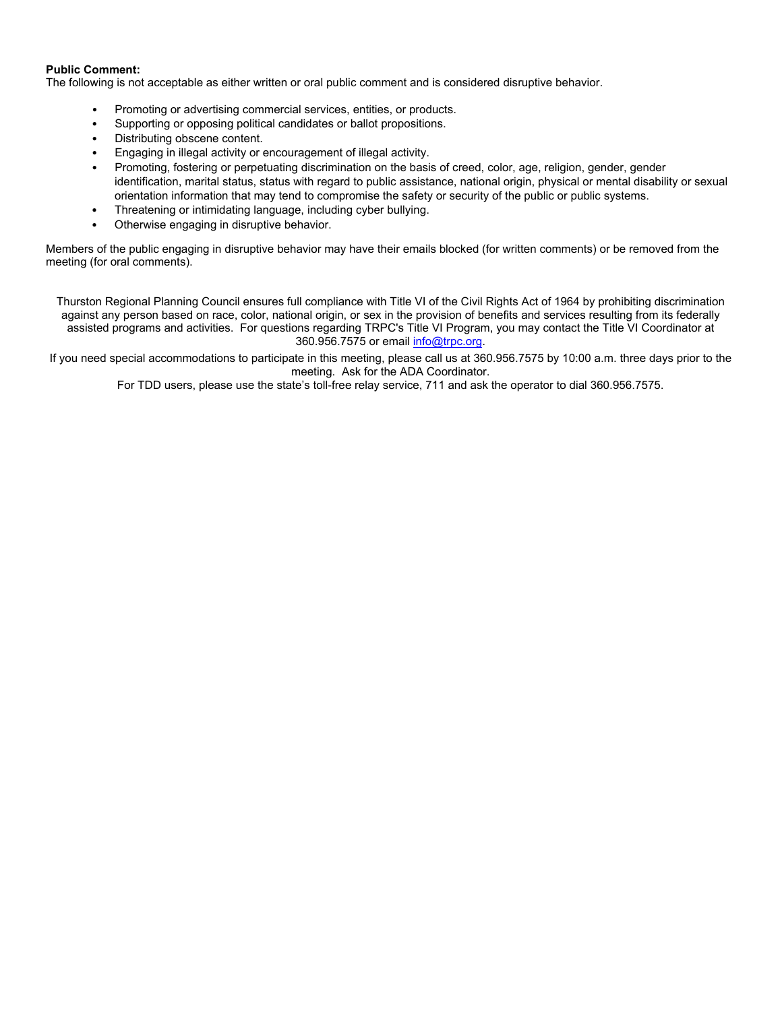#### **Public Comment:**

The following is not acceptable as either written or oral public comment and is considered disruptive behavior.

- Promoting or advertising commercial services, entities, or products.
- Supporting or opposing political candidates or ballot propositions.
- Distributing obscene content.
- Engaging in illegal activity or encouragement of illegal activity.
- Promoting, fostering or perpetuating discrimination on the basis of creed, color, age, religion, gender, gender identification, marital status, status with regard to public assistance, national origin, physical or mental disability or sexual orientation information that may tend to compromise the safety or security of the public or public systems.
- Threatening or intimidating language, including cyber bullying.
- Otherwise engaging in disruptive behavior.

Members of the public engaging in disruptive behavior may have their emails blocked (for written comments) or be removed from the meeting (for oral comments).

Thurston Regional Planning Council ensures full compliance with Title VI of the Civil Rights Act of 1964 by prohibiting discrimination against any person based on race, color, national origin, or sex in the provision of benefits and services resulting from its federally assisted programs and activities. For questions regarding TRPC's Title VI Program, you may contact the Title VI Coordinator at 360.956.7575 or emai[l info@trpc.org.](mailto:info@trpc.org)

If you need special accommodations to participate in this meeting, please call us at 360.956.7575 by 10:00 a.m. three days prior to the meeting. Ask for the ADA Coordinator.

For TDD users, please use the state's toll-free relay service, 711 and ask the operator to dial 360.956.7575.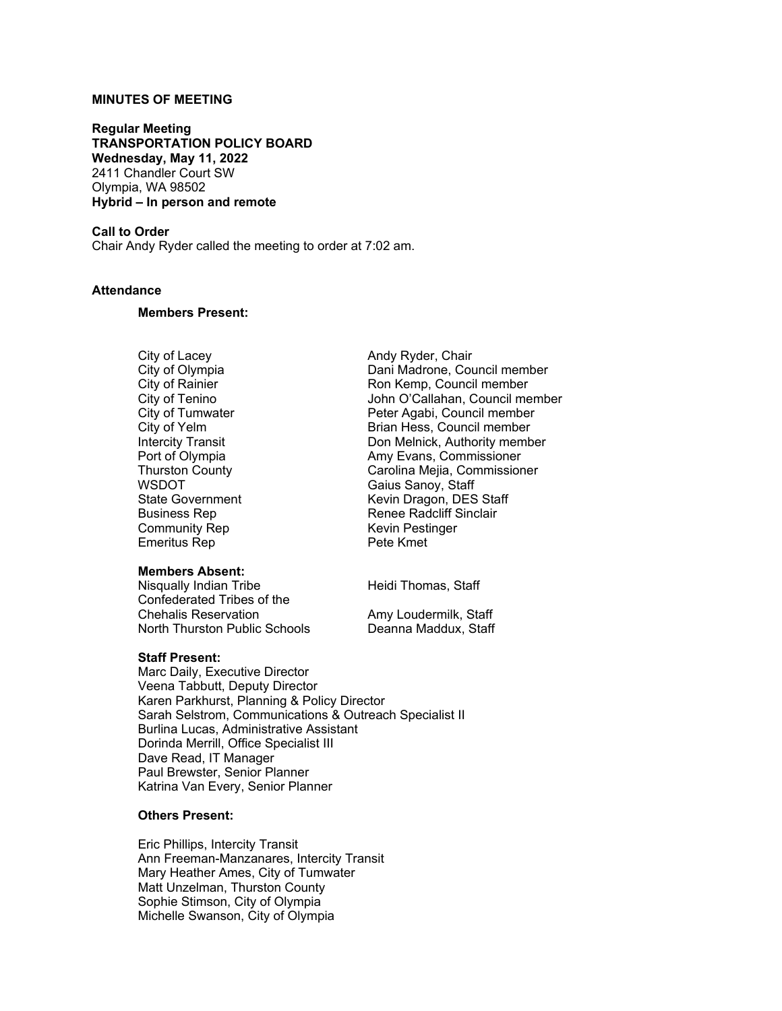# **MINUTES OF MEETING**

**Regular Meeting TRANSPORTATION POLICY BOARD Wednesday, May 11, 2022** 2411 Chandler Court SW Olympia, WA 98502 **Hybrid – In person and remote**

# **Call to Order**

Chair Andy Ryder called the meeting to order at 7:02 am.

### **Attendance**

#### **Members Present:**

Community Rep Kevin Pestinger<br>
Emeritus Rep Kevin Pete Kmet Emeritus Rep

#### **Members Absent:**

Nisqually Indian Tribe Heidi Thomas, Staff Confederated Tribes of the North Thurston Public Schools

### **Staff Present:**

Marc Daily, Executive Director Veena Tabbutt, Deputy Director Karen Parkhurst, Planning & Policy Director Sarah Selstrom, Communications & Outreach Specialist II Burlina Lucas, Administrative Assistant Dorinda Merrill, Office Specialist III Dave Read, IT Manager Paul Brewster, Senior Planner Katrina Van Every, Senior Planner

### **Others Present:**

Eric Phillips, Intercity Transit Ann Freeman-Manzanares, Intercity Transit Mary Heather Ames, City of Tumwater Matt Unzelman, Thurston County Sophie Stimson, City of Olympia Michelle Swanson, City of Olympia

City of Lacey Andy Ryder, Chair Dani Madrone, Council member City of Rainier **Ron Kemp, Council member**<br>City of Tenino **Rouncil member** John O'Callahan, Council me City of Tenino<br>City of Tumwater The Summan Deter Agabi, Council member<br>Peter Agabi, Council member City of Tumwater **Peter Agabi, Council member**<br>City of Yelm **Peter Agabi, Council member** City of Yelm Brian Hess, Council member Intercity Transit **Intercity Transit** Don Melnick, Authority member<br>
Port of Olympia **Port Amy Evans, Commissioner** Port of Olympia **Amy Evans, Commissioner<br>
Thurston County** Carolina Mejia, Commission Carolina Mejia, Commissioner WSDOT<br>
State Government<br>
State Government<br>
Computer State Covernment<br>
Covernment<br>
Covernment<br>
Covernment<br>
Covernment<br>
Covernment<br>
Covernment<br>
Covernment<br>
Covernment<br>
Covernment<br>
Covernment<br>
Covernment<br>
Covernment<br>
Covernme State Government External Control Revin Dragon, DES Staff<br>Business Rep The Renee Radcliff Sinclair Renee Radcliff Sinclair<br>Kevin Pestinger

Amy Loudermilk, Staff<br>Deanna Maddux, Staff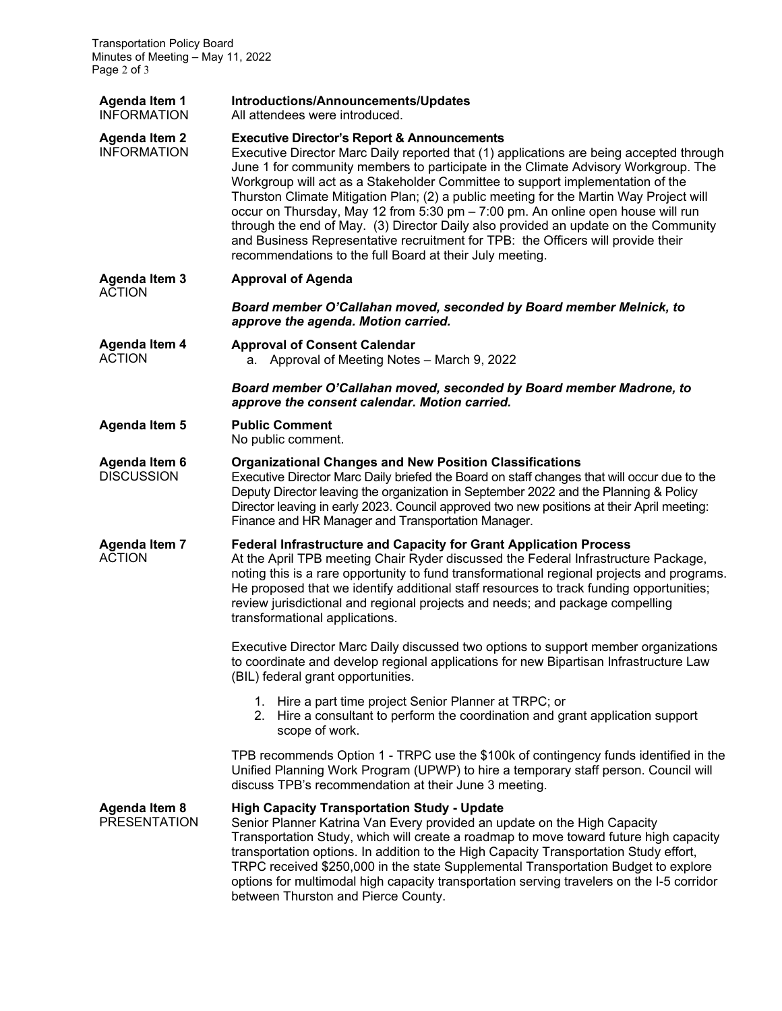| Agenda Item 1<br><b>INFORMATION</b>        | Introductions/Announcements/Updates<br>All attendees were introduced.                                                                                                                                                                                                                                                                                                                                                                                                                                                                                                                                                                                                                                                                         |  |  |  |  |
|--------------------------------------------|-----------------------------------------------------------------------------------------------------------------------------------------------------------------------------------------------------------------------------------------------------------------------------------------------------------------------------------------------------------------------------------------------------------------------------------------------------------------------------------------------------------------------------------------------------------------------------------------------------------------------------------------------------------------------------------------------------------------------------------------------|--|--|--|--|
| <b>Agenda Item 2</b><br><b>INFORMATION</b> | <b>Executive Director's Report &amp; Announcements</b><br>Executive Director Marc Daily reported that (1) applications are being accepted through<br>June 1 for community members to participate in the Climate Advisory Workgroup. The<br>Workgroup will act as a Stakeholder Committee to support implementation of the<br>Thurston Climate Mitigation Plan; (2) a public meeting for the Martin Way Project will<br>occur on Thursday, May 12 from 5:30 pm - 7:00 pm. An online open house will run<br>through the end of May. (3) Director Daily also provided an update on the Community<br>and Business Representative recruitment for TPB: the Officers will provide their<br>recommendations to the full Board at their July meeting. |  |  |  |  |
| <b>Agenda Item 3</b><br><b>ACTION</b>      | <b>Approval of Agenda</b>                                                                                                                                                                                                                                                                                                                                                                                                                                                                                                                                                                                                                                                                                                                     |  |  |  |  |
|                                            | Board member O'Callahan moved, seconded by Board member Melnick, to<br>approve the agenda. Motion carried.                                                                                                                                                                                                                                                                                                                                                                                                                                                                                                                                                                                                                                    |  |  |  |  |
| <b>Agenda Item 4</b><br><b>ACTION</b>      | <b>Approval of Consent Calendar</b><br>a. Approval of Meeting Notes - March 9, 2022                                                                                                                                                                                                                                                                                                                                                                                                                                                                                                                                                                                                                                                           |  |  |  |  |
|                                            | Board member O'Callahan moved, seconded by Board member Madrone, to<br>approve the consent calendar. Motion carried.                                                                                                                                                                                                                                                                                                                                                                                                                                                                                                                                                                                                                          |  |  |  |  |
| <b>Agenda Item 5</b>                       | <b>Public Comment</b><br>No public comment.                                                                                                                                                                                                                                                                                                                                                                                                                                                                                                                                                                                                                                                                                                   |  |  |  |  |
| Agenda Item 6<br><b>DISCUSSION</b>         | <b>Organizational Changes and New Position Classifications</b><br>Executive Director Marc Daily briefed the Board on staff changes that will occur due to the<br>Deputy Director leaving the organization in September 2022 and the Planning & Policy<br>Director leaving in early 2023. Council approved two new positions at their April meeting:<br>Finance and HR Manager and Transportation Manager.                                                                                                                                                                                                                                                                                                                                     |  |  |  |  |
| <b>Agenda Item 7</b><br><b>ACTION</b>      | <b>Federal Infrastructure and Capacity for Grant Application Process</b><br>At the April TPB meeting Chair Ryder discussed the Federal Infrastructure Package,<br>noting this is a rare opportunity to fund transformational regional projects and programs.<br>He proposed that we identify additional staff resources to track funding opportunities;<br>review jurisdictional and regional projects and needs; and package compelling<br>transformational applications.                                                                                                                                                                                                                                                                    |  |  |  |  |
|                                            | Executive Director Marc Daily discussed two options to support member organizations<br>to coordinate and develop regional applications for new Bipartisan Infrastructure Law<br>(BIL) federal grant opportunities.                                                                                                                                                                                                                                                                                                                                                                                                                                                                                                                            |  |  |  |  |
|                                            | 1. Hire a part time project Senior Planner at TRPC; or<br>2. Hire a consultant to perform the coordination and grant application support<br>scope of work.                                                                                                                                                                                                                                                                                                                                                                                                                                                                                                                                                                                    |  |  |  |  |
|                                            | TPB recommends Option 1 - TRPC use the \$100k of contingency funds identified in the<br>Unified Planning Work Program (UPWP) to hire a temporary staff person. Council will<br>discuss TPB's recommendation at their June 3 meeting.                                                                                                                                                                                                                                                                                                                                                                                                                                                                                                          |  |  |  |  |
| Agenda Item 8<br><b>PRESENTATION</b>       | <b>High Capacity Transportation Study - Update</b><br>Senior Planner Katrina Van Every provided an update on the High Capacity<br>Transportation Study, which will create a roadmap to move toward future high capacity<br>transportation options. In addition to the High Capacity Transportation Study effort,<br>TRPC received \$250,000 in the state Supplemental Transportation Budget to explore<br>options for multimodal high capacity transportation serving travelers on the I-5 corridor<br>between Thurston and Pierce County.                                                                                                                                                                                                    |  |  |  |  |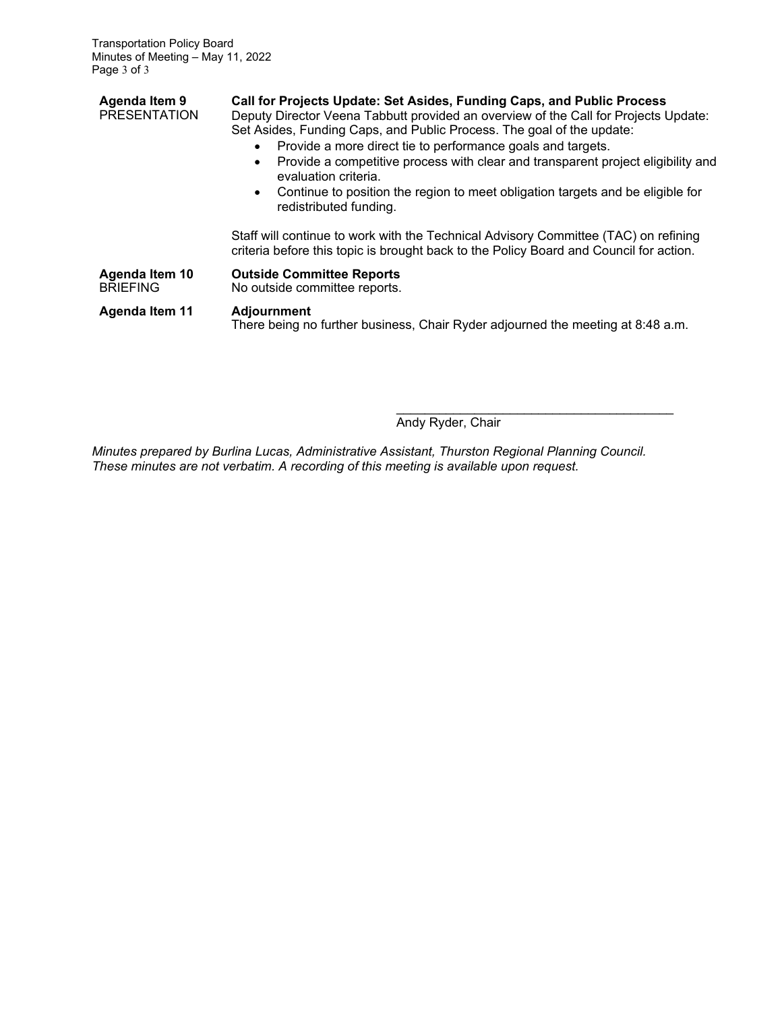| Agenda Item 9<br><b>PRESENTATION</b> | Call for Projects Update: Set Asides, Funding Caps, and Public Process<br>Deputy Director Veena Tabbutt provided an overview of the Call for Projects Update:<br>Set Asides, Funding Caps, and Public Process. The goal of the update:<br>Provide a more direct tie to performance goals and targets.<br>Provide a competitive process with clear and transparent project eligibility and<br>evaluation criteria. |  |  |  |
|--------------------------------------|-------------------------------------------------------------------------------------------------------------------------------------------------------------------------------------------------------------------------------------------------------------------------------------------------------------------------------------------------------------------------------------------------------------------|--|--|--|
|                                      | Continue to position the region to meet obligation targets and be eligible for<br>$\bullet$<br>redistributed funding.                                                                                                                                                                                                                                                                                             |  |  |  |
|                                      | Staff will continue to work with the Technical Advisory Committee (TAC) on refining<br>criteria before this topic is brought back to the Policy Board and Council for action.                                                                                                                                                                                                                                     |  |  |  |
| Agenda Item 10<br><b>BRIEFING</b>    | <b>Outside Committee Reports</b><br>No outside committee reports.                                                                                                                                                                                                                                                                                                                                                 |  |  |  |
| <b>Agenda Item 11</b>                | <b>Adjournment</b><br>There being no further business, Chair Ryder adjourned the meeting at 8:48 a.m.                                                                                                                                                                                                                                                                                                             |  |  |  |

\_\_\_\_\_\_\_\_\_\_\_\_\_\_\_\_\_\_\_\_\_\_\_\_\_\_\_\_\_\_\_\_\_\_\_\_\_\_\_ Andy Ryder, Chair

*Minutes prepared by Burlina Lucas, Administrative Assistant, Thurston Regional Planning Council. These minutes are not verbatim. A recording of this meeting is available upon request.*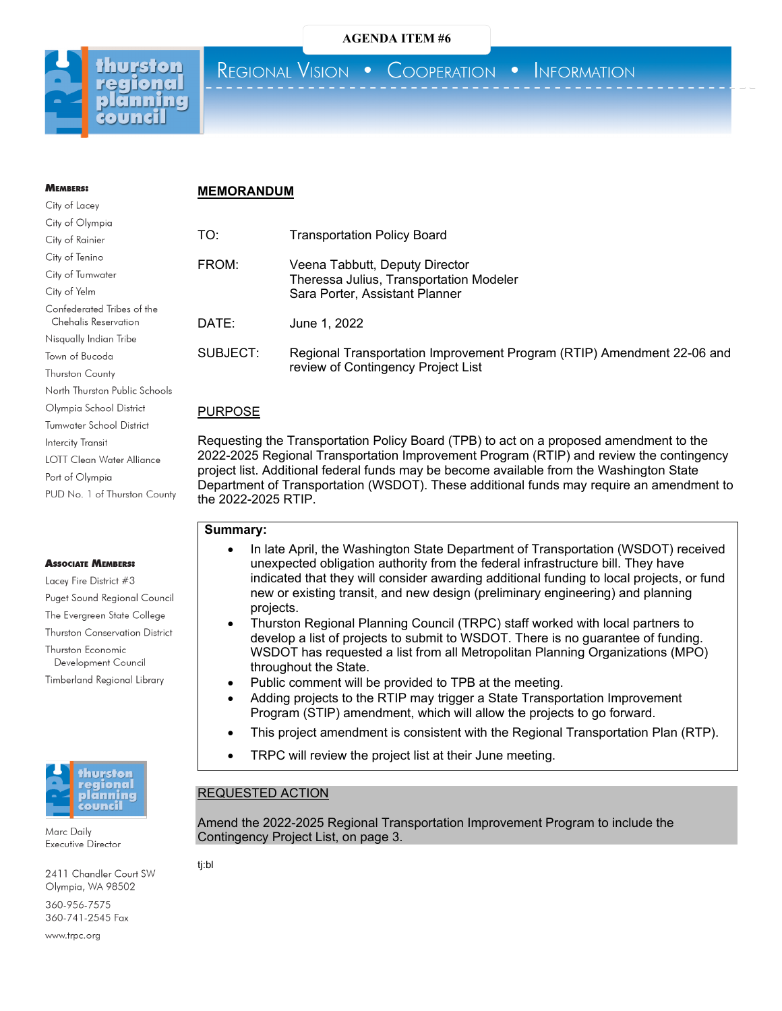



**MEMREDS:** 

REGIONAL VISION . COOPERATION . INFORMATION

# **MEMORANDUM**

| City of Lacey                                      |
|----------------------------------------------------|
| City of Olympia                                    |
| City of Rainier                                    |
| City of Tenino                                     |
| City of Tumwater                                   |
| City of Yelm                                       |
| Confederated Tribes of the<br>Chehalis Reservation |
| Nisqually Indian Tribe                             |
| Town of Bucoda                                     |
| <b>Thurston County</b>                             |
| North Thurston Public Schools                      |
| Olympia School District                            |
| <b>Tumwater School District</b>                    |
| Intercity Transit                                  |
| LOTT Clean Water Alliance                          |
| Port of Olympia                                    |
| PUD No. 1 of Thurston County                       |

#### **ASSOCIATE MEMBERS:**

Lacev Fire District #3 Puget Sound Regional Council The Evergreen State College Thurston Conservation District Thurston Economic Development Council Timberland Regional Library



Marc Daily Executive Director

2411 Chandler Court SW Olympia, WA 98502

360-956-7575 360-741-2545 Fax

www.trpc.org

# TO: Transportation Policy Board

| FROM: | Veena Tabbutt, Deputy Director<br>Theressa Julius, Transportation Modeler<br>Sara Porter, Assistant Planner |  |
|-------|-------------------------------------------------------------------------------------------------------------|--|
| DATE: | June 1, 2022                                                                                                |  |

SUBJECT: Regional Transportation Improvement Program (RTIP) Amendment 22-06 and review of Contingency Project List

# PURPOSE

Requesting the Transportation Policy Board (TPB) to act on a proposed amendment to the 2022-2025 Regional Transportation Improvement Program (RTIP) and review the contingency project list. Additional federal funds may be become available from the Washington State Department of Transportation (WSDOT). These additional funds may require an amendment to the 2022-2025 RTIP.

# **Summary:**

- In late April, the Washington State Department of Transportation (WSDOT) received unexpected obligation authority from the federal infrastructure bill. They have indicated that they will consider awarding additional funding to local projects, or fund new or existing transit, and new design (preliminary engineering) and planning projects.
- Thurston Regional Planning Council (TRPC) staff worked with local partners to develop a list of projects to submit to WSDOT. There is no guarantee of funding. WSDOT has requested a list from all Metropolitan Planning Organizations (MPO) throughout the State.
- Public comment will be provided to TPB at the meeting.
- Adding projects to the RTIP may trigger a State Transportation Improvement Program (STIP) amendment, which will allow the projects to go forward.
- This project amendment is consistent with the Regional Transportation Plan (RTP).
- TRPC will review the project list at their June meeting.

# REQUESTED ACTION

Amend the 2022-2025 Regional Transportation Improvement Program to include the Contingency Project List, on page 3.

tj:bl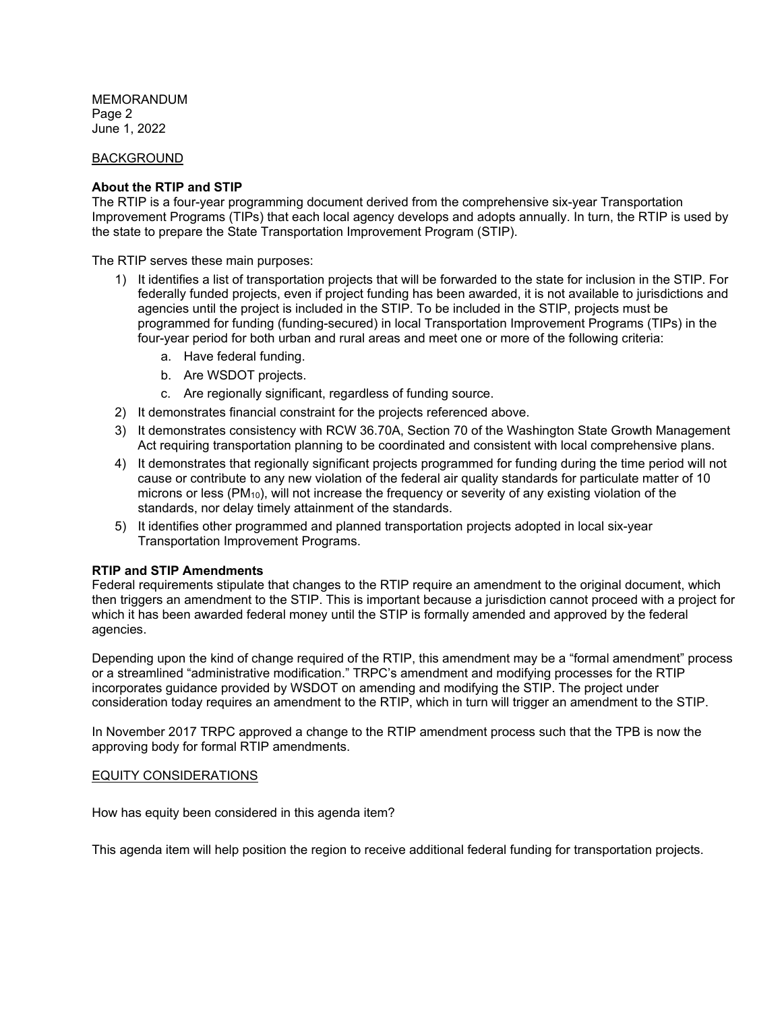MEMORANDUM Page 2 June 1, 2022

# BACKGROUND

#### **About the RTIP and STIP**

The RTIP is a four-year programming document derived from the comprehensive six-year Transportation Improvement Programs (TIPs) that each local agency develops and adopts annually. In turn, the RTIP is used by the state to prepare the State Transportation Improvement Program (STIP).

The RTIP serves these main purposes:

- 1) It identifies a list of transportation projects that will be forwarded to the state for inclusion in the STIP. For federally funded projects, even if project funding has been awarded, it is not available to jurisdictions and agencies until the project is included in the STIP. To be included in the STIP, projects must be programmed for funding (funding-secured) in local Transportation Improvement Programs (TIPs) in the four-year period for both urban and rural areas and meet one or more of the following criteria:
	- a. Have federal funding.
	- b. Are WSDOT projects.
	- c. Are regionally significant, regardless of funding source.
- 2) It demonstrates financial constraint for the projects referenced above.
- 3) It demonstrates consistency with RCW 36.70A, Section 70 of the Washington State Growth Management Act requiring transportation planning to be coordinated and consistent with local comprehensive plans.
- 4) It demonstrates that regionally significant projects programmed for funding during the time period will not cause or contribute to any new violation of the federal air quality standards for particulate matter of 10 microns or less  $(PM_{10})$ , will not increase the frequency or severity of any existing violation of the standards, nor delay timely attainment of the standards.
- 5) It identifies other programmed and planned transportation projects adopted in local six-year Transportation Improvement Programs.

# **RTIP and STIP Amendments**

Federal requirements stipulate that changes to the RTIP require an amendment to the original document, which then triggers an amendment to the STIP. This is important because a jurisdiction cannot proceed with a project for which it has been awarded federal money until the STIP is formally amended and approved by the federal agencies.

Depending upon the kind of change required of the RTIP, this amendment may be a "formal amendment" process or a streamlined "administrative modification." TRPC's amendment and modifying processes for the RTIP incorporates guidance provided by WSDOT on amending and modifying the STIP. The project under consideration today requires an amendment to the RTIP, which in turn will trigger an amendment to the STIP.

In November 2017 TRPC approved a change to the RTIP amendment process such that the TPB is now the approving body for formal RTIP amendments.

# EQUITY CONSIDERATIONS

How has equity been considered in this agenda item?

This agenda item will help position the region to receive additional federal funding for transportation projects.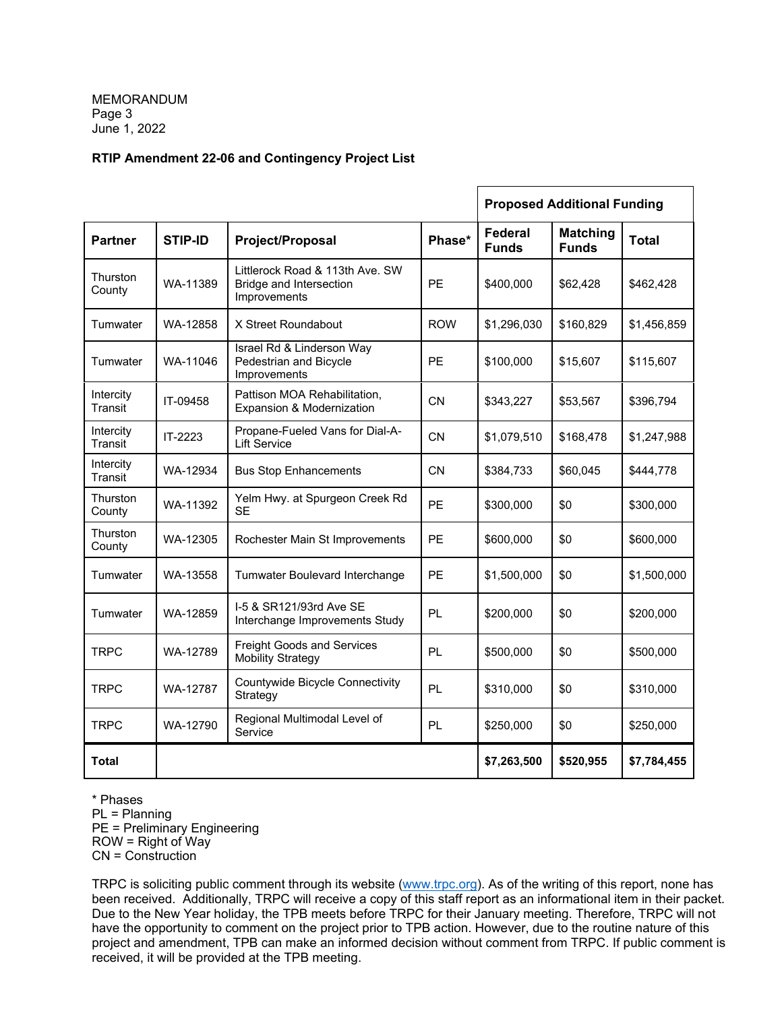# **RTIP Amendment 22-06 and Contingency Project List**

|                      |                                                                       |                                                                            |            |                                | <b>Proposed Additional Funding</b> |              |
|----------------------|-----------------------------------------------------------------------|----------------------------------------------------------------------------|------------|--------------------------------|------------------------------------|--------------|
| <b>Partner</b>       | <b>STIP-ID</b>                                                        | Project/Proposal                                                           | Phase*     | <b>Federal</b><br><b>Funds</b> | <b>Matching</b><br><b>Funds</b>    | <b>Total</b> |
| Thurston<br>County   | WA-11389                                                              | Littlerock Road & 113th Ave. SW<br>Bridge and Intersection<br>Improvements | <b>PE</b>  | \$400,000                      | \$62,428                           | \$462,428    |
| Tumwater             | WA-12858                                                              | X Street Roundabout                                                        | <b>ROW</b> | \$1,296,030                    | \$160,829                          | \$1,456,859  |
| Tumwater             | WA-11046                                                              | Israel Rd & Linderson Way<br>Pedestrian and Bicycle<br>Improvements        | <b>PE</b>  | \$100,000                      | \$15,607                           | \$115,607    |
| Intercity<br>Transit | IT-09458                                                              | Pattison MOA Rehabilitation,<br>Expansion & Modernization                  | CN         | \$343,227                      | \$53,567                           | \$396,794    |
| Intercity<br>Transit | IT-2223                                                               | Propane-Fueled Vans for Dial-A-<br><b>Lift Service</b>                     | <b>CN</b>  | \$1,079,510                    | \$168,478                          | \$1,247,988  |
| Intercity<br>Transit | WA-12934                                                              | <b>Bus Stop Enhancements</b>                                               | <b>CN</b>  | \$384,733                      | \$60,045                           | \$444,778    |
| Thurston<br>County   | WA-11392                                                              | Yelm Hwy. at Spurgeon Creek Rd<br>SE                                       | <b>PE</b>  | \$300,000                      | \$0                                | \$300,000    |
| Thurston<br>County   | WA-12305                                                              | Rochester Main St Improvements                                             | <b>PE</b>  | \$600,000                      | \$0                                | \$600,000    |
| Tumwater             | WA-13558                                                              | Tumwater Boulevard Interchange                                             | <b>PE</b>  | \$1,500,000                    | \$0                                | \$1,500,000  |
| Tumwater             | I-5 & SR121/93rd Ave SE<br>WA-12859<br>Interchange Improvements Study |                                                                            | PL         | \$200,000                      | \$0                                | \$200,000    |
| <b>TRPC</b>          | WA-12789                                                              | <b>Freight Goods and Services</b><br><b>Mobility Strategy</b>              |            | \$500,000                      | \$0                                | \$500,000    |
| <b>TRPC</b>          | WA-12787                                                              | Countywide Bicycle Connectivity<br>Strategy                                | PL         | \$310,000                      | \$0                                | \$310,000    |
| <b>TRPC</b>          | WA-12790                                                              | Regional Multimodal Level of<br>Service                                    | <b>PL</b>  | \$250,000                      | \$0                                | \$250,000    |
| <b>Total</b>         |                                                                       |                                                                            |            | \$7,263,500                    | \$520,955                          | \$7,784,455  |

\* Phases PL = Planning PE = Preliminary Engineering ROW = Right of Way CN = Construction

TRPC is soliciting public comment through its website [\(www.trpc.org\)](http://www.trpc.org/). As of the writing of this report, none has been received. Additionally, TRPC will receive a copy of this staff report as an informational item in their packet. Due to the New Year holiday, the TPB meets before TRPC for their January meeting. Therefore, TRPC will not have the opportunity to comment on the project prior to TPB action. However, due to the routine nature of this project and amendment, TPB can make an informed decision without comment from TRPC. If public comment is received, it will be provided at the TPB meeting.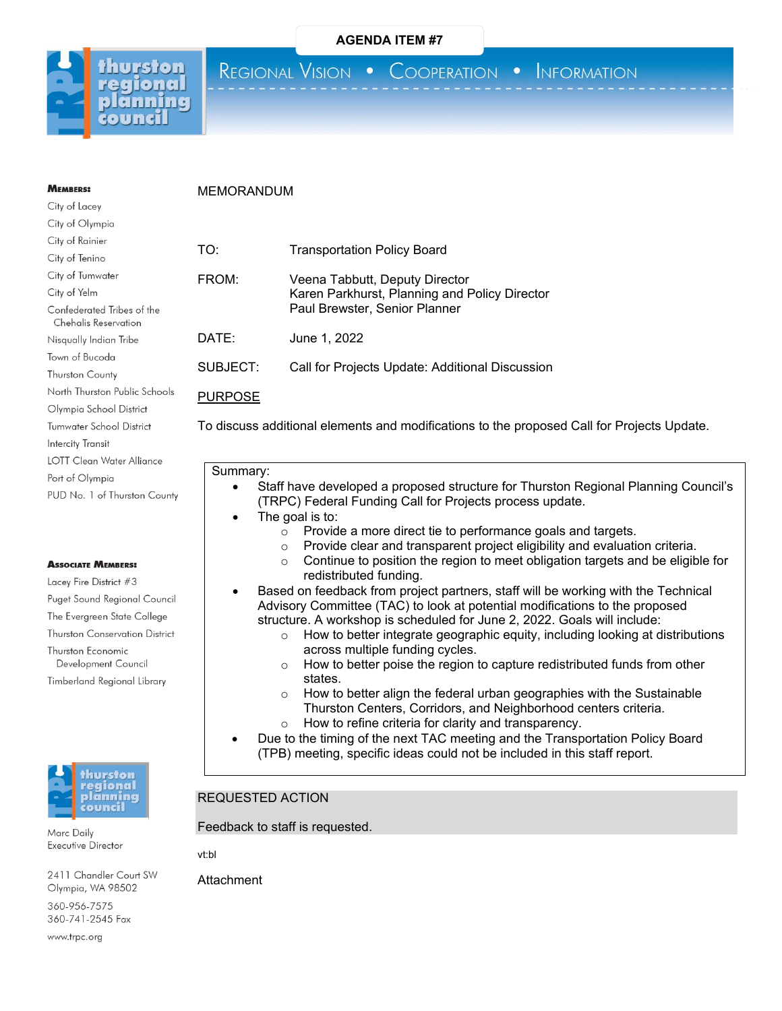

**MEMBERS:** City of Lacey

REGIONAL VISION . COOPERATION . INFORMATION

# MEMORANDUM

| City of Olympia                                    |        |
|----------------------------------------------------|--------|
| City of Rainier                                    |        |
| City of Tenino                                     | TO:    |
| City of Tumwater                                   | FROM   |
| City of Yelm                                       |        |
| Confederated Tribes of the<br>Chehalis Reservation |        |
| Nisqually Indian Tribe                             | DATE   |
| Town of Bucoda                                     |        |
| <b>Thurston County</b>                             | SUBJ   |
| North Thurston Public Schools                      | PURP   |
| Olympia School District                            |        |
| <b>Tumwater School District</b>                    | To dis |
| Intercity Transit                                  |        |
| LOTT Clean Water Alliance                          |        |
| Port of Olympia                                    | Sur    |
| PUD No. 1 of Thurston County                       |        |
|                                                    |        |

#### **ASSOCIATE MEMBERS:**

Lacey Fire District #3 Puget Sound Regional Council The Evergreen State College Thurston Conservation District Thurston Economic Development Council Timberland Regional Library



Marc Daily Executive Director

2411 Chandler Court SW Olympia, WA 98502

360-956-7575 360-741-2545 Fax

www.trpc.org

| TO:      | <b>Transportation Policy Board</b>                                                                               |
|----------|------------------------------------------------------------------------------------------------------------------|
| FROM:    | Veena Tabbutt, Deputy Director<br>Karen Parkhurst, Planning and Policy Director<br>Paul Brewster, Senior Planner |
| DATE:    | June 1, 2022                                                                                                     |
| SUBJECT: | Call for Projects Update: Additional Discussion                                                                  |

### **OSE**

cuss additional elements and modifications to the proposed Call for Projects Update.

#### nmary:

- Staff have developed a proposed structure for Thurston Regional Planning Council's (TRPC) Federal Funding Call for Projects process update.
- The goal is to:
	-
	- $\circ$  Provide a more direct tie to performance goals and targets.<br> $\circ$  Provide clear and transparent proiect eligibility and evaluati  $\circ$  Provide clear and transparent project eligibility and evaluation criteria.<br> $\circ$  Continue to position the region to meet obligation targets and be eligib
	- Continue to position the region to meet obligation targets and be eligible for redistributed funding.
- Based on feedback from project partners, staff will be working with the Technical Advisory Committee (TAC) to look at potential modifications to the proposed structure. A workshop is scheduled for June 2, 2022. Goals will include:
	- o How to better integrate geographic equity, including looking at distributions across multiple funding cycles.
	- $\circ$  How to better poise the region to capture redistributed funds from other states.
	- o How to better align the federal urban geographies with the Sustainable Thurston Centers, Corridors, and Neighborhood centers criteria.
	- o How to refine criteria for clarity and transparency.
- Due to the timing of the next TAC meeting and the Transportation Policy Board (TPB) meeting, specific ideas could not be included in this staff report.

# REQUESTED ACTION

Feedback to staff is requested.

vt:bl

**Attachment**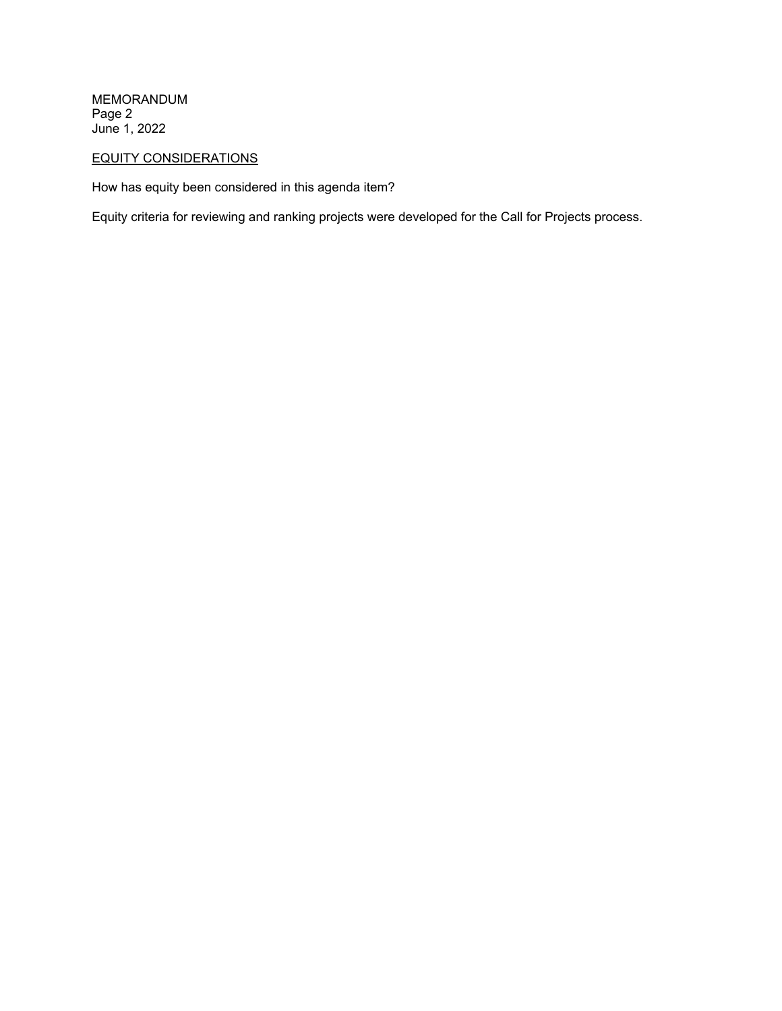MEMORANDUM Page 2 June 1, 2022

# EQUITY CONSIDERATIONS

How has equity been considered in this agenda item?

Equity criteria for reviewing and ranking projects were developed for the Call for Projects process.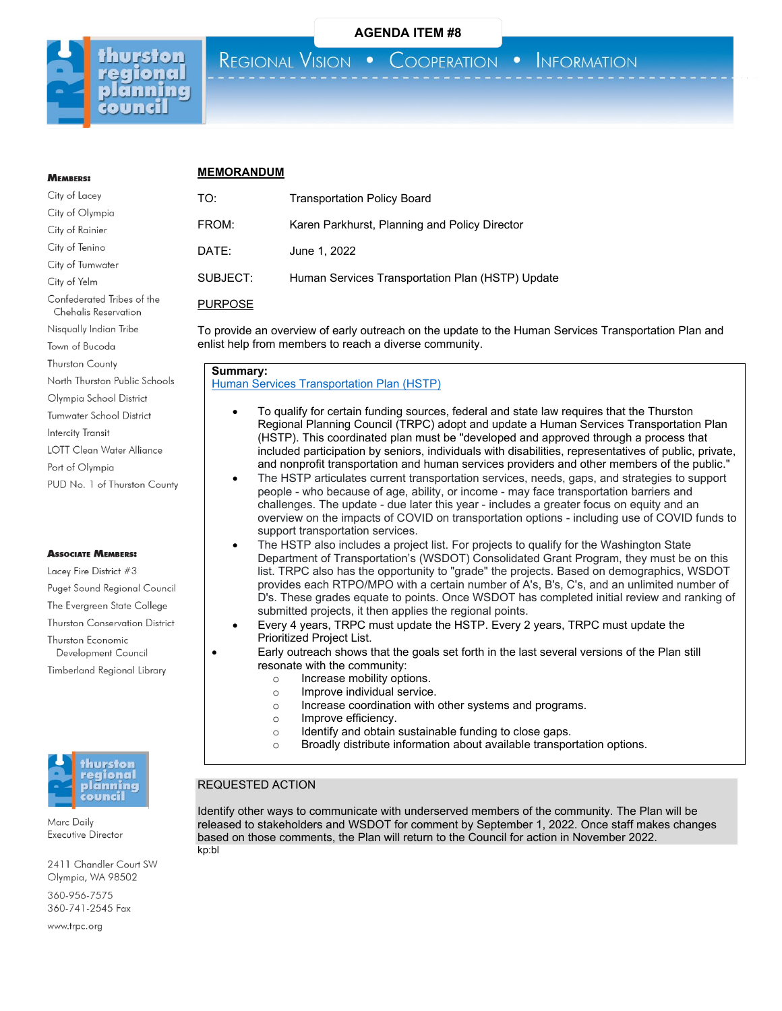

# **MEMBERS:** City of Lacey

Chehalis Reservation Nisqually Indian Tribe Town of Bucoda **Thurston County** 

North Thurston Public Schools Olympia School District Tumwater School District

LOTT Clean Water Alliance

PUD No. 1 of Thurston County

Puget Sound Regional Council The Evergreen State College Thurston Conservation District

**Intercity Transit** 

Port of Olympia

**ASSOCIATE MEMBERS:** Lacey Fire District #3

Thurston Economic Development Council Timberland Regional Library

# **MEMORANDUM**

REGIONAL VISION .

| City of Lacey              | TO:            | <b>Transportation Policy Board</b>               |  |  |
|----------------------------|----------------|--------------------------------------------------|--|--|
| City of Olympia            |                |                                                  |  |  |
| City of Rainier            | FROM:          | Karen Parkhurst, Planning and Policy Director    |  |  |
| City of Tenino             | DATE:          | June 1, 2022                                     |  |  |
| City of Tumwater           |                |                                                  |  |  |
| City of Yelm               | SUBJECT:       | Human Services Transportation Plan (HSTP) Update |  |  |
| Confederated Tribes of the | <b>DUDDOOF</b> |                                                  |  |  |

PURPOSE

To provide an overview of early outreach on the update to the Human Services Transportation Plan and enlist help from members to reach a diverse community.

#### **Summary:**

[Human Services Transportation](https://www.trpc.org/312/Coordinated-Human-Services-Transportatio) Plan (HSTP)

- To qualify for certain funding sources, federal and state law requires that the Thurston Regional Planning Council (TRPC) adopt and update a Human Services Transportation Plan (HSTP). This coordinated plan must be "developed and approved through a process that included participation by seniors, individuals with disabilities, representatives of public, private, and nonprofit transportation and human services providers and other members of the public."
- The HSTP articulates current transportation services, needs, gaps, and strategies to support people - who because of age, ability, or income - may face transportation barriers and challenges. The update - due later this year - includes a greater focus on equity and an overview on the impacts of COVID on transportation options - including use of COVID funds to support transportation services.
- The HSTP also includes a project list. For projects to qualify for the Washington State Department of Transportation's (WSDOT) Consolidated Grant Program, they must be on this list. TRPC also has the opportunity to "grade" the projects. Based on demographics, WSDOT provides each RTPO/MPO with a certain number of A's, B's, C's, and an unlimited number of D's. These grades equate to points. Once WSDOT has completed initial review and ranking of submitted projects, it then applies the regional points.
- Every 4 years, TRPC must update the HSTP. Every 2 years, TRPC must update the Prioritized Project List.
- Early outreach shows that the goals set forth in the last several versions of the Plan still resonate with the community:
	- o Increase mobility options.
	- o Improve individual service.
	- o Increase coordination with other systems and programs.
	- o Improve efficiency.<br>
	o Identify and obtain
	- $\circ$  Identify and obtain sustainable funding to close gaps.<br>  $\circ$  Broadly distribute information about available transpo
	- Broadly distribute information about available transportation options.

#### REQUESTED ACTION

Identify other ways to communicate with underserved members of the community. The Plan will be released to stakeholders and WSDOT for comment by September 1, 2022. Once staff makes changes based on those comments, the Plan will return to the Council for action in November 2022. kp:bl



Marc Daily Executive Director

2411 Chandler Court SW Olympia, WA 98502

360-956-7575 360-741-2545 Fax

www.trpc.org